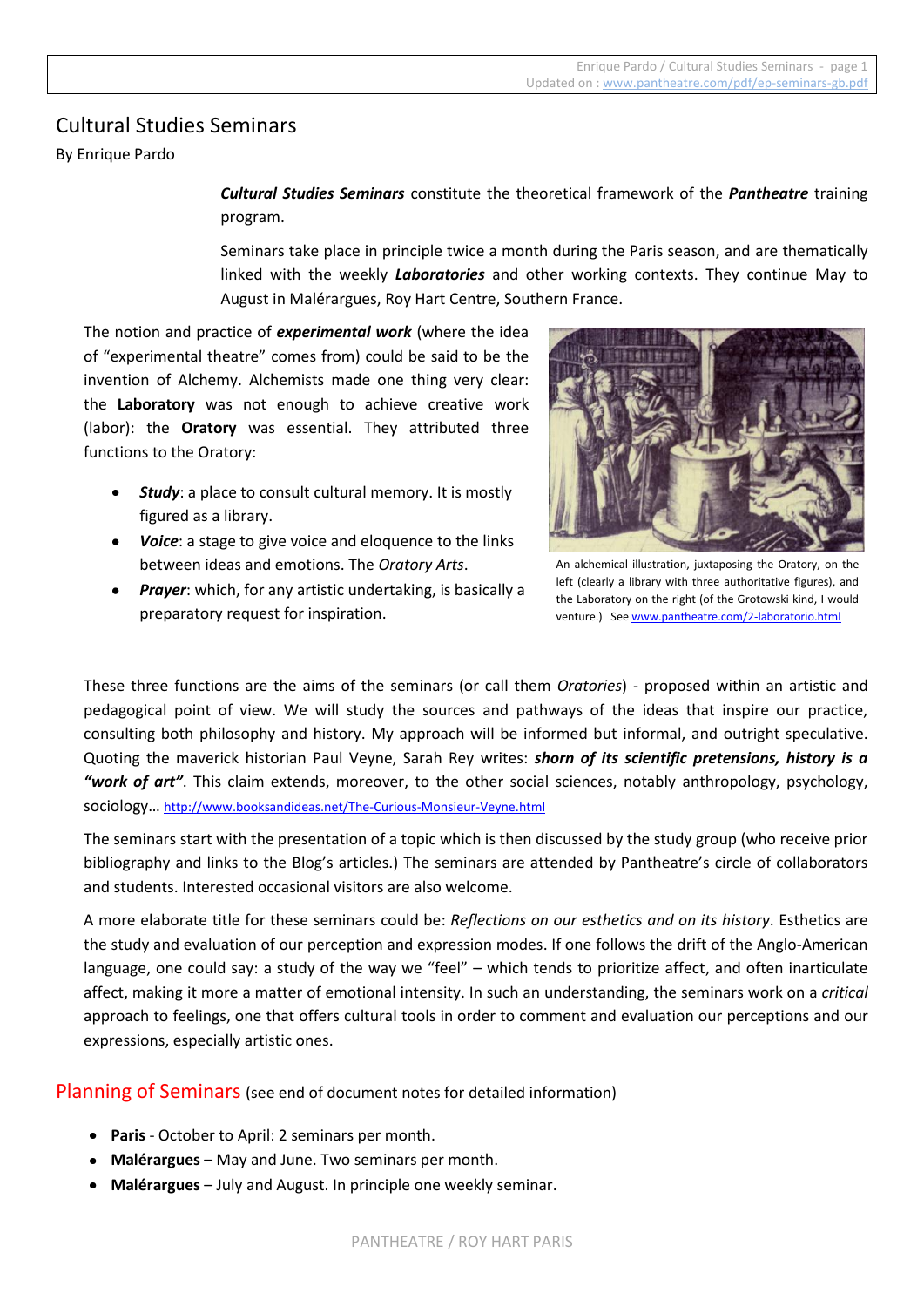# Cultural Studies Seminars

By Enrique Pardo

*Cultural Studies Seminars* constitute the theoretical framework of the *Pantheatre* training program.

Seminars take place in principle twice a month during the Paris season, and are thematically linked with the weekly *Laboratories* and other working contexts. They continue May to August in Malérargues, Roy Hart Centre, Southern France.

The notion and practice of *experimental work* (where the idea of "experimental theatre" comes from) could be said to be the invention of Alchemy. Alchemists made one thing very clear: the **Laboratory** was not enough to achieve creative work (labor): the **Oratory** was essential. They attributed three functions to the Oratory:

- *Study*: a place to consult cultural memory. It is mostly figured as a library.
- *Voice*: a stage to give voice and eloquence to the links between ideas and emotions. The *Oratory Arts*.
- *Prayer*: which, for any artistic undertaking, is basically a preparatory request for inspiration.



An alchemical illustration, juxtaposing the Oratory, on the left (clearly a library with three authoritative figures), and the Laboratory on the right (of the Grotowski kind, I would venture.) See [www.pantheatre.com/2-laboratorio.html](http://www.pantheatre.com/2-laboratorio.html)

These three functions are the aims of the seminars (or call them *Oratories*) - proposed within an artistic and pedagogical point of view. We will study the sources and pathways of the ideas that inspire our practice, consulting both philosophy and history. My approach will be informed but informal, and outright speculative. Quoting the maverick historian Paul Veyne, Sarah Rey writes: *shorn of its scientific pretensions, history is a "work of art"*. This claim extends, moreover, to the other social sciences, notably anthropology, psychology, sociology… <http://www.booksandideas.net/The-Curious-Monsieur-Veyne.html>

The seminars start with the presentation of a topic which is then discussed by the study group (who receive prior bibliography and links to the Blog's articles.) The seminars are attended by Pantheatre's circle of collaborators and students. Interested occasional visitors are also welcome.

A more elaborate title for these seminars could be: *Reflections on our esthetics and on its history*. Esthetics are the study and evaluation of our perception and expression modes. If one follows the drift of the Anglo-American language, one could say: a study of the way we "feel" – which tends to prioritize affect, and often inarticulate affect, making it more a matter of emotional intensity. In such an understanding, the seminars work on a *critical* approach to feelings, one that offers cultural tools in order to comment and evaluation our perceptions and our expressions, especially artistic ones.

Planning of Seminars (see end of document notes for detailed information)

- **Paris** October to April: 2 seminars per month.
- **Malérargues** May and June. Two seminars per month.
- **Malérargues** July and August. In principle one weekly seminar.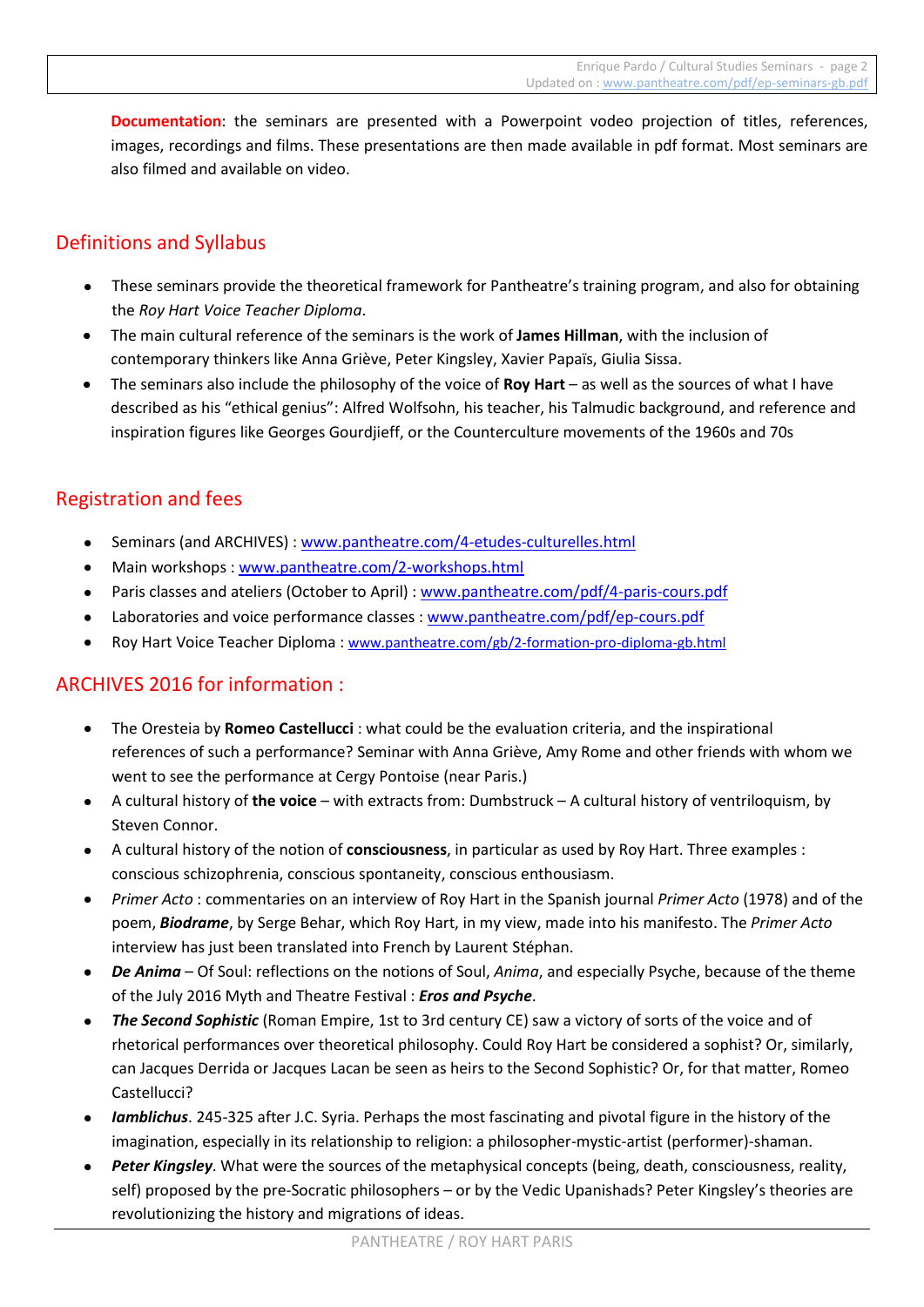**Documentation**: the seminars are presented with a Powerpoint vodeo projection of titles, references, images, recordings and films. These presentations are then made available in pdf format. Most seminars are also filmed and available on video.

# Definitions and Syllabus

- These seminars provide the theoretical framework for Pantheatre's training program, and also for obtaining the *Roy Hart Voice Teacher Diploma*.
- The main cultural reference of the seminars is the work of **James Hillman**, with the inclusion of contemporary thinkers like Anna Griève, Peter Kingsley, Xavier Papaïs, Giulia Sissa.
- The seminars also include the philosophy of the voice of **Roy Hart** as well as the sources of what I have described as his "ethical genius": Alfred Wolfsohn, his teacher, his Talmudic background, and reference and inspiration figures like Georges Gourdjieff, or the Counterculture movements of the 1960s and 70s

# Registration and fees

- Seminars (and ARCHIVES) : [www.pantheatre.com/4-etudes-culturelles.html](http://www.pantheatre.com/4-etudes-culturelles.html)
- Main workshops: [www.pantheatre.com/2-workshops.html](http://www.pantheatre.com/2-workshops.html)
- Paris classes and ateliers (October to April) : [www.pantheatre.com/pdf/4-paris-cours.pdf](http://www.pantheatre.com/pdf/4-paris-cours.pdf)
- Laboratories and voice performance classes : [www.pantheatre.com/pdf/ep-cours.pdf](http://www.pantheatre.com/pdf/ep-cours.pdf)
- Roy Hart Voice Teacher Diploma : [www.pantheatre.com/gb/2-formation-pro-diploma-gb.html](http://www.pantheatre.com/gb/2-formation-pro-diploma-gb.html)

# ARCHIVES 2016 for information :

- The Oresteia by **Romeo Castellucci** : what could be the evaluation criteria, and the inspirational references of such a performance? Seminar with Anna Griève, Amy Rome and other friends with whom we went to see the performance at Cergy Pontoise (near Paris.)
- A cultural history of **the voice** with extracts from: Dumbstruck A cultural history of ventriloquism, by Steven Connor.
- A cultural history of the notion of **consciousness**, in particular as used by Roy Hart. Three examples : conscious schizophrenia, conscious spontaneity, conscious enthousiasm.
- *Primer Acto* : commentaries on an interview of Roy Hart in the Spanish journal *Primer Acto* (1978) and of the poem, *Biodrame*, by Serge Behar, which Roy Hart, in my view, made into his manifesto. The *Primer Acto* interview has just been translated into French by Laurent Stéphan.
- *De Anima* Of Soul: reflections on the notions of Soul, *Anima*, and especially Psyche, because of the theme of the July 2016 Myth and Theatre Festival : *Eros and Psyche*.
- *The Second Sophistic* (Roman Empire, 1st to 3rd century CE) saw a victory of sorts of the voice and of rhetorical performances over theoretical philosophy. Could Roy Hart be considered a sophist? Or, similarly, can Jacques Derrida or Jacques Lacan be seen as heirs to the Second Sophistic? Or, for that matter, Romeo Castellucci?
- *Iamblichus*. 245-325 after J.C. Syria. Perhaps the most fascinating and pivotal figure in the history of the imagination, especially in its relationship to religion: a philosopher-mystic-artist (performer)-shaman.
- *Peter Kingsley*. What were the sources of the metaphysical concepts (being, death, consciousness, reality, self) proposed by the pre-Socratic philosophers – or by the Vedic Upanishads? Peter Kingsley's theories are revolutionizing the history and migrations of ideas.